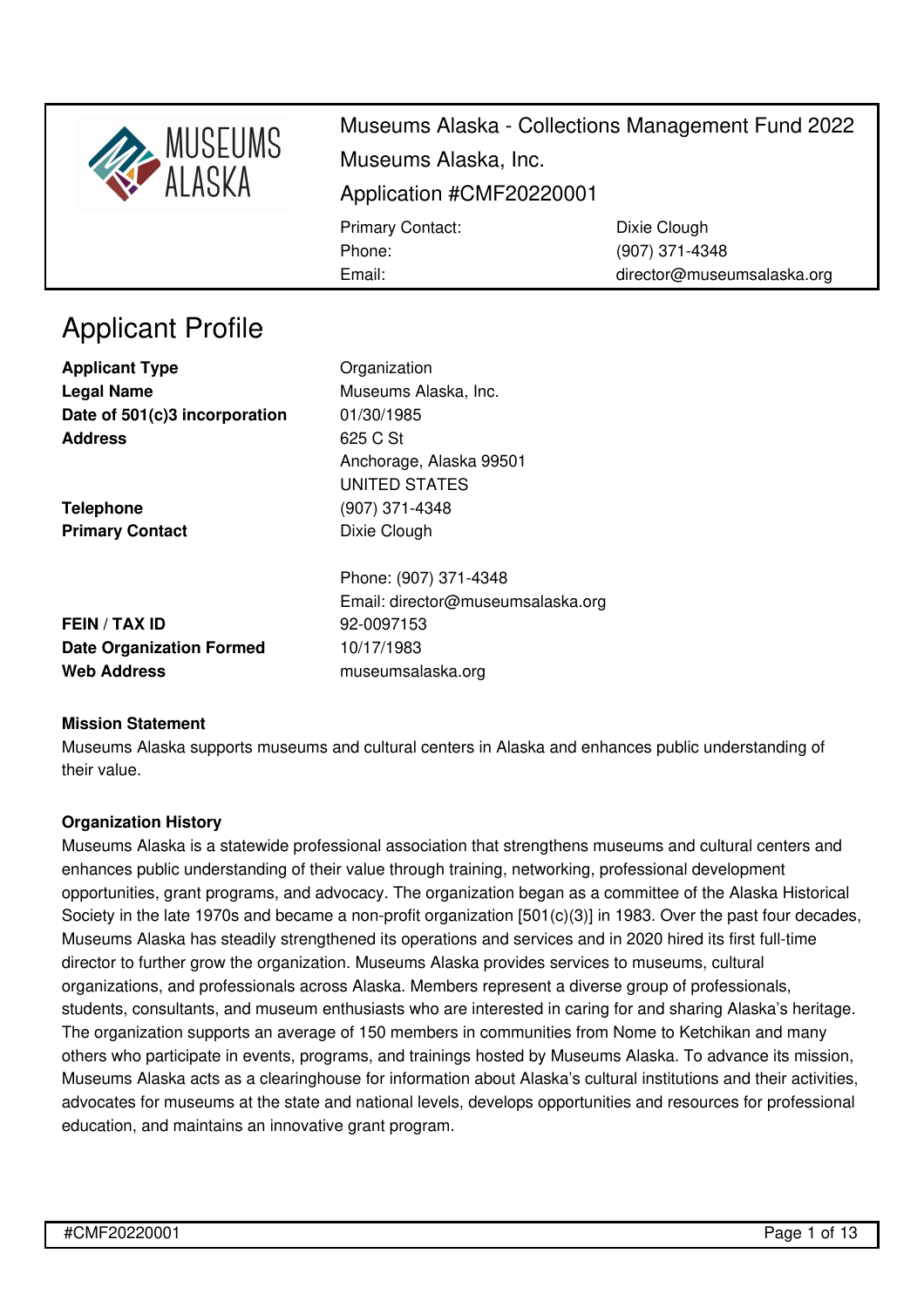

director@museumsalaska.org

Applicant Profile

**Applicant Type Construction** Organization **Legal Name** Museums Alaska, Inc. **Date of 501(c)3 incorporation** 01/30/1985 **Address** 625 C St

**Telephone** (907) 371-4348 **Primary Contact** Dixie Clough

Anchorage, Alaska 99501 UNITED STATES

Email:

**FEIN / TAX ID** 92-0097153 **Date Organization Formed** 10/17/1983 **Web Address** [museumsalaska.org](https://museumsalaska.org)

Phone: (907) 371-4348 Email: director@museumsalaska.org

## **Mission Statement**

Museums Alaska supports museums and cultural centers in Alaska and enhances public understanding of their value.

### **Organization History**

Museums Alaska is a statewide professional association that strengthens museums and cultural centers and enhances public understanding of their value through training, networking, professional development opportunities, grant programs, and advocacy. The organization began as a committee of the Alaska Historical Society in the late 1970s and became a non-profit organization [501(c)(3)] in 1983. Over the past four decades, Museums Alaska has steadily strengthened its operations and services and in 2020 hired its first full-time director to further grow the organization. Museums Alaska provides services to museums, cultural organizations, and professionals across Alaska. Members represent a diverse group of professionals, students, consultants, and museum enthusiasts who are interested in caring for and sharing Alaska's heritage. The organization supports an average of 150 members in communities from Nome to Ketchikan and many others who participate in events, programs, and trainings hosted by Museums Alaska. To advance its mission, Museums Alaska acts as a clearinghouse for information about Alaska's cultural institutions and their activities, advocates for museums at the state and national levels, develops opportunities and resources for professional education, and maintains an innovative grant program.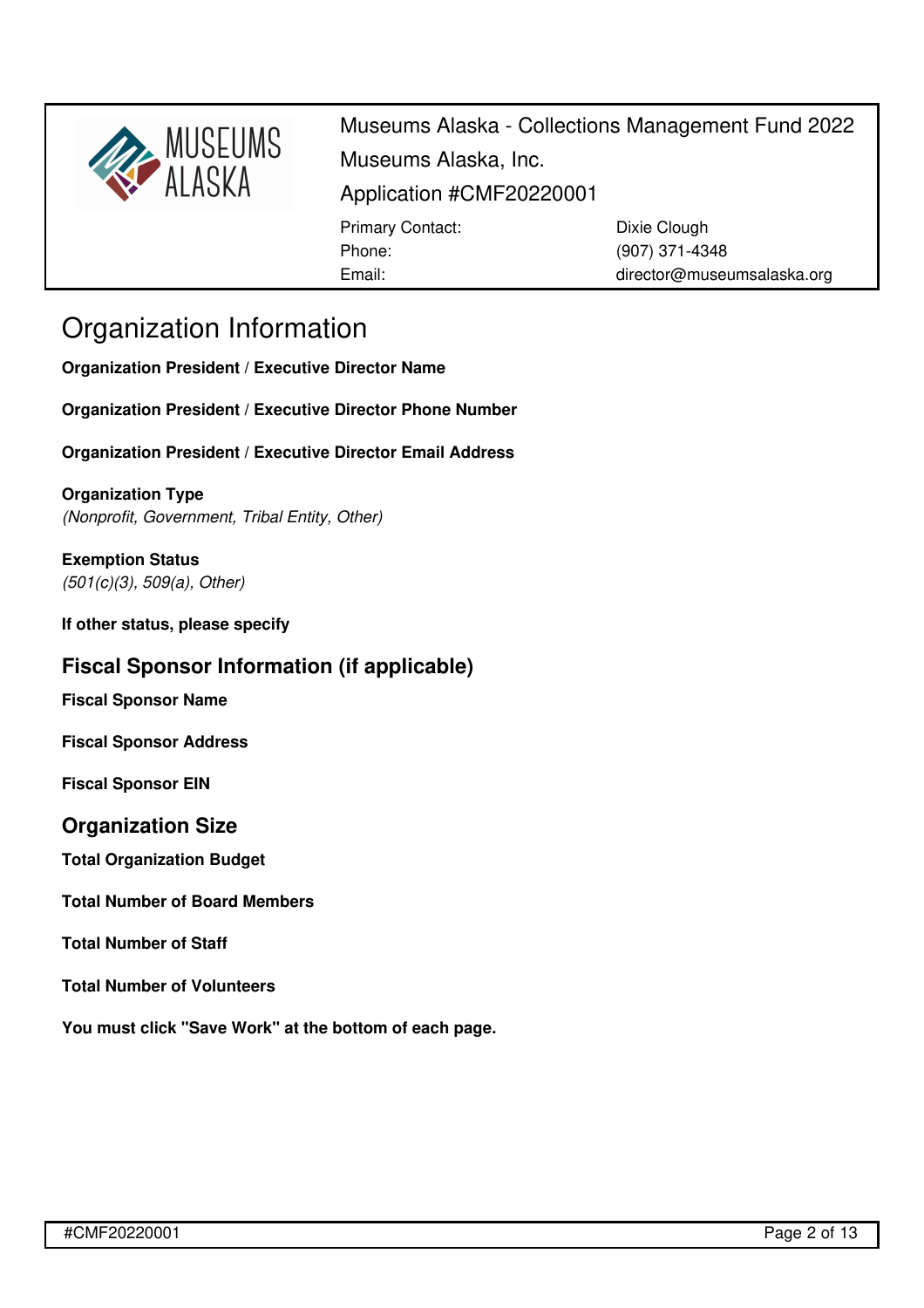

director@museumsalaska.org

## Organization Information

**Organization President / Executive Director Name**

**Organization President / Executive Director Phone Number**

Email:

**Organization President / Executive Director Email Address**

**Organization Type** *(Nonprofit, Government, Tribal Entity, Other)*

**Exemption Status** *(501(c)(3), 509(a), Other)*

**If other status, please specify**

## **Fiscal Sponsor Information (if applicable)**

**Fiscal Sponsor Name**

**Fiscal Sponsor Address**

**Fiscal Sponsor EIN**

## **Organization Size**

**Total Organization Budget**

**Total Number of Board Members**

## **Total Number of Staff**

**Total Number of Volunteers**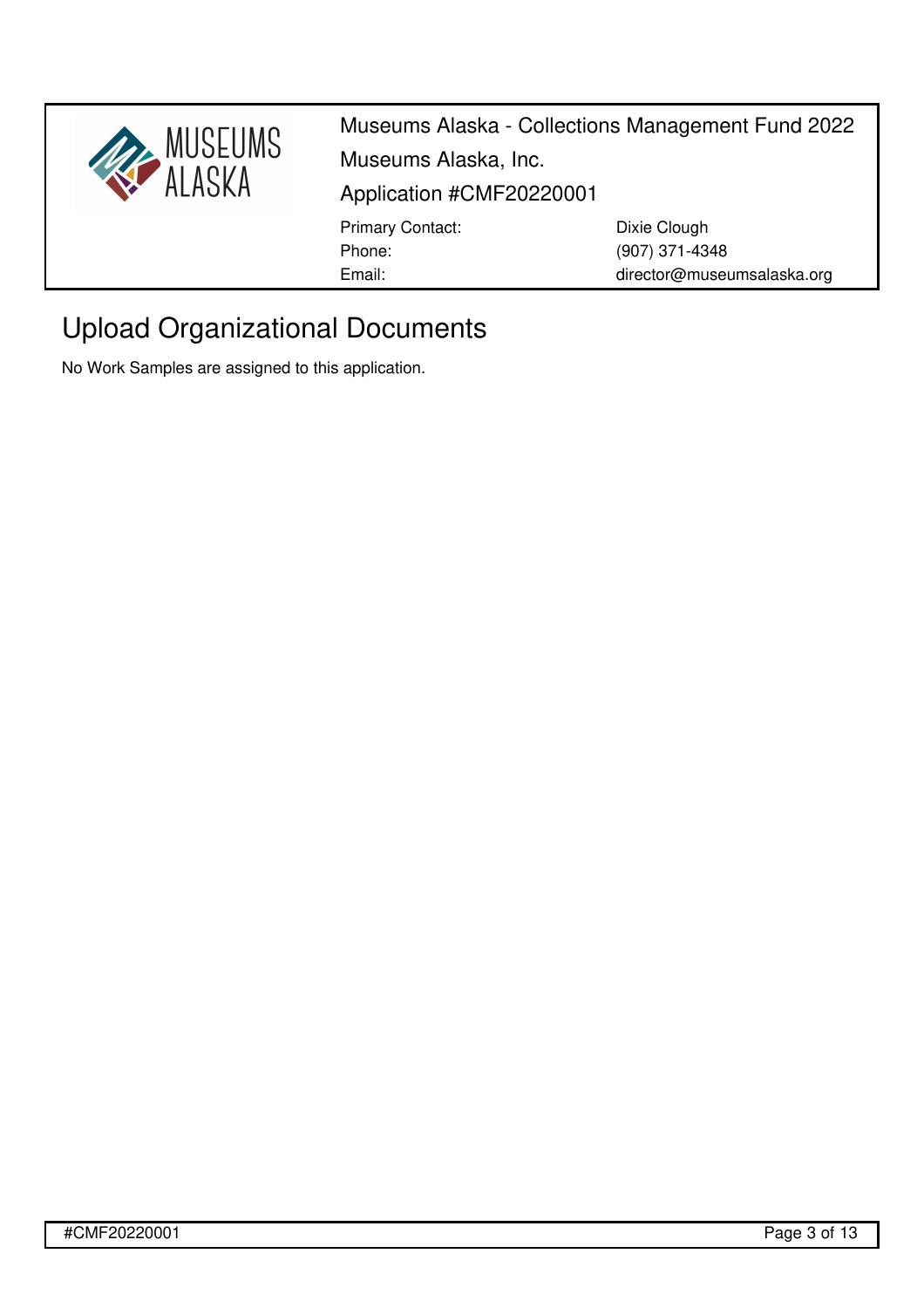

# Upload Organizational Documents

No Work Samples are assigned to this application.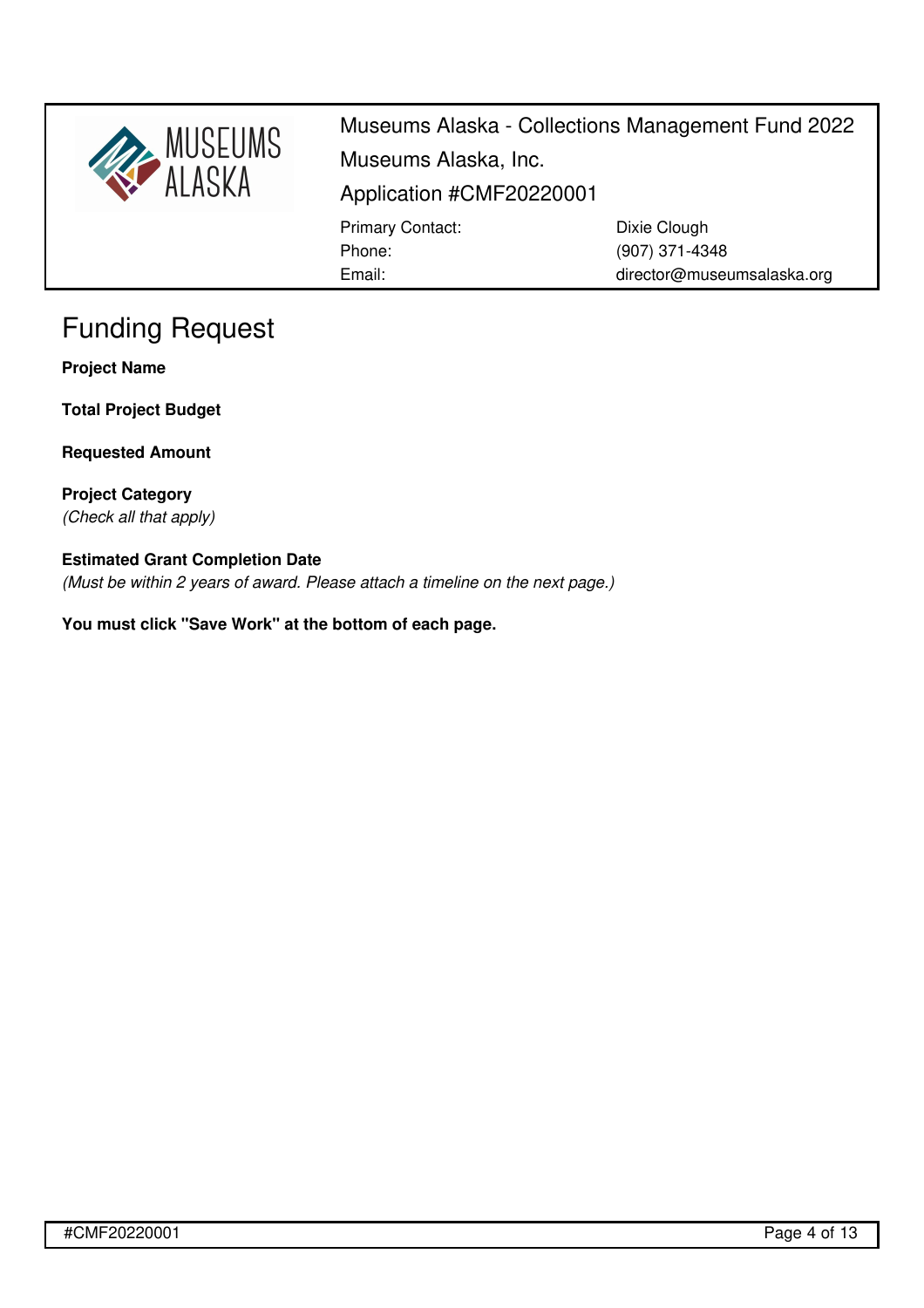

Museums Alaska - Collections Management Fund 2022 Museums Alaska, Inc. Application #CMF20220001 Primary Contact: Phone: Email: Dixie Clough (907) 371-4348 director@museumsalaska.org

# Funding Request

**Project Name**

**Total Project Budget**

**Requested Amount**

**Project Category** *(Check all that apply)*

## **Estimated Grant Completion Date**

*(Must be within 2 years of award. Please attach a timeline on the next page.)*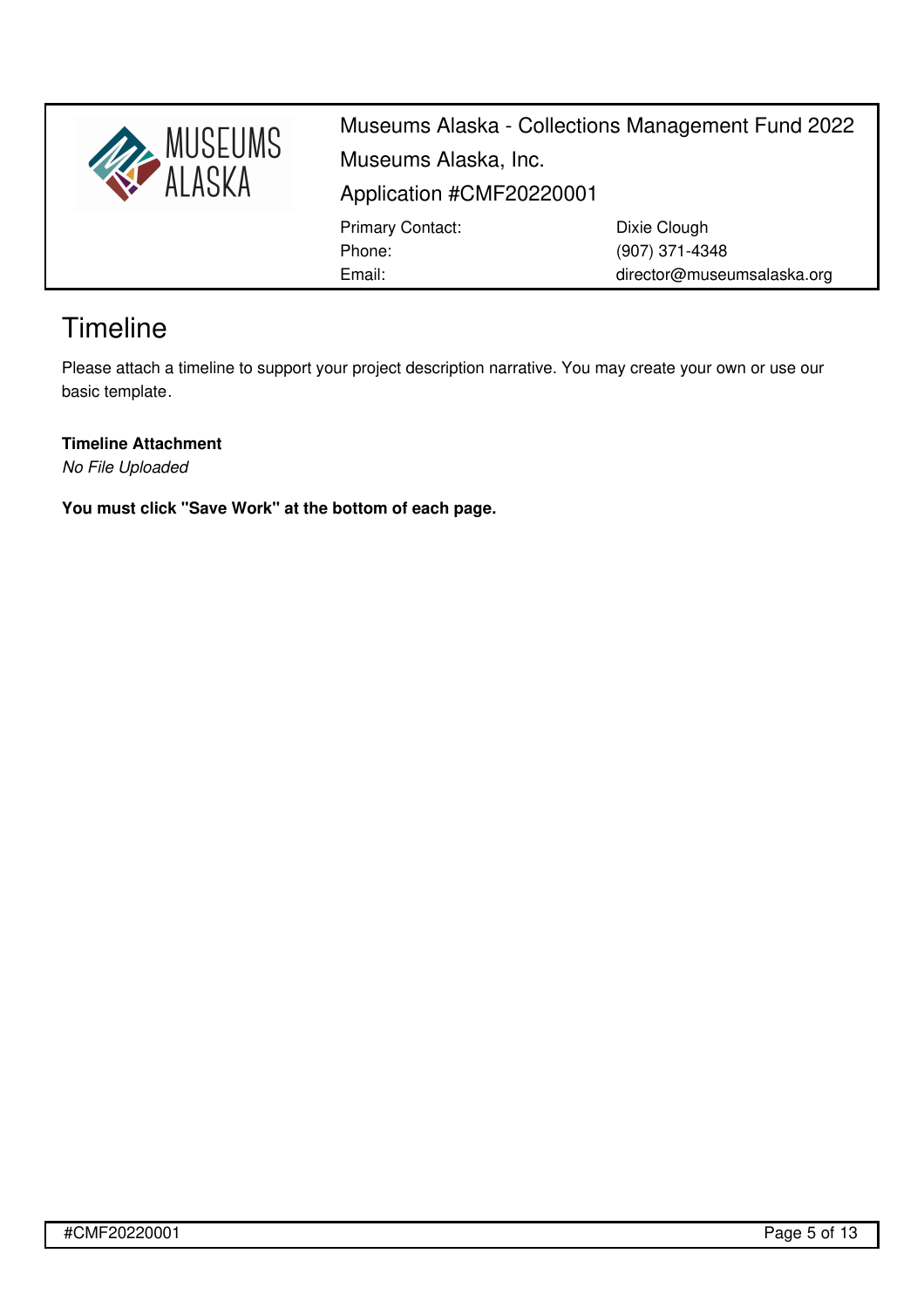

Museums Alaska - Collections Management Fund 2022 Museums Alaska, Inc. Application #CMF20220001 Primary Contact: Phone: Email: Dixie Clough (907) 371-4348 director@museumsalaska.org

# **Timeline**

Please attach a timeline to support your project description narrative. You may create your own or use our basic [template](https://museumsalaska.org/resources/Documents/CMF%20timeline%20template.xlsx).

**Timeline Attachment**

*No File Uploaded*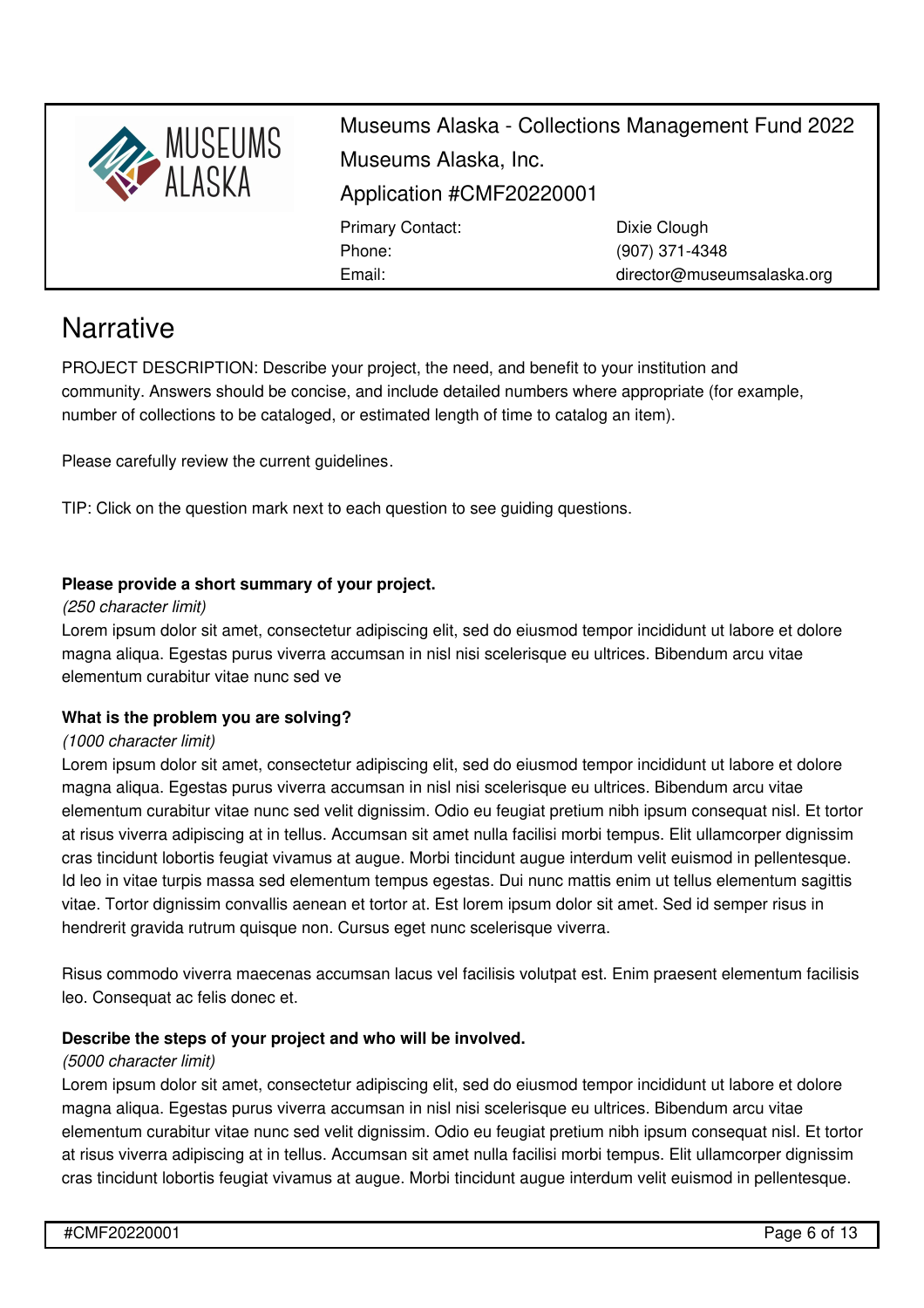

director@museumsalaska.org

# **Narrative**

PROJECT DESCRIPTION: Describe your project, the need, and benefit to your institution and community. Answers should be concise, and include detailed numbers where appropriate (for example, number of collections to be cataloged, or estimated length of time to catalog an item).

Please carefully review the current [guidelines](https://museumsalaska.org/resources/Documents/2021%20CMF%20Guidelines.pdf).

TIP: Click on the question mark next to each question to see guiding questions.

Email:

## **Please provide a short summary of your project.**

#### *(250 character limit)*

Lorem ipsum dolor sit amet, consectetur adipiscing elit, sed do eiusmod tempor incididunt ut labore et dolore magna aliqua. Egestas purus viverra accumsan in nisl nisi scelerisque eu ultrices. Bibendum arcu vitae elementum curabitur vitae nunc sed ve

### **What is the problem you are solving?**

### *(1000 character limit)*

Lorem ipsum dolor sit amet, consectetur adipiscing elit, sed do eiusmod tempor incididunt ut labore et dolore magna aliqua. Egestas purus viverra accumsan in nisl nisi scelerisque eu ultrices. Bibendum arcu vitae elementum curabitur vitae nunc sed velit dignissim. Odio eu feugiat pretium nibh ipsum consequat nisl. Et tortor at risus viverra adipiscing at in tellus. Accumsan sit amet nulla facilisi morbi tempus. Elit ullamcorper dignissim cras tincidunt lobortis feugiat vivamus at augue. Morbi tincidunt augue interdum velit euismod in pellentesque. Id leo in vitae turpis massa sed elementum tempus egestas. Dui nunc mattis enim ut tellus elementum sagittis vitae. Tortor dignissim convallis aenean et tortor at. Est lorem ipsum dolor sit amet. Sed id semper risus in hendrerit gravida rutrum quisque non. Cursus eget nunc scelerisque viverra.

Risus commodo viverra maecenas accumsan lacus vel facilisis volutpat est. Enim praesent elementum facilisis leo. Consequat ac felis donec et.

### **Describe the steps of your project and who will be involved.**

### *(5000 character limit)*

Lorem ipsum dolor sit amet, consectetur adipiscing elit, sed do eiusmod tempor incididunt ut labore et dolore magna aliqua. Egestas purus viverra accumsan in nisl nisi scelerisque eu ultrices. Bibendum arcu vitae elementum curabitur vitae nunc sed velit dignissim. Odio eu feugiat pretium nibh ipsum consequat nisl. Et tortor at risus viverra adipiscing at in tellus. Accumsan sit amet nulla facilisi morbi tempus. Elit ullamcorper dignissim cras tincidunt lobortis feugiat vivamus at augue. Morbi tincidunt augue interdum velit euismod in pellentesque.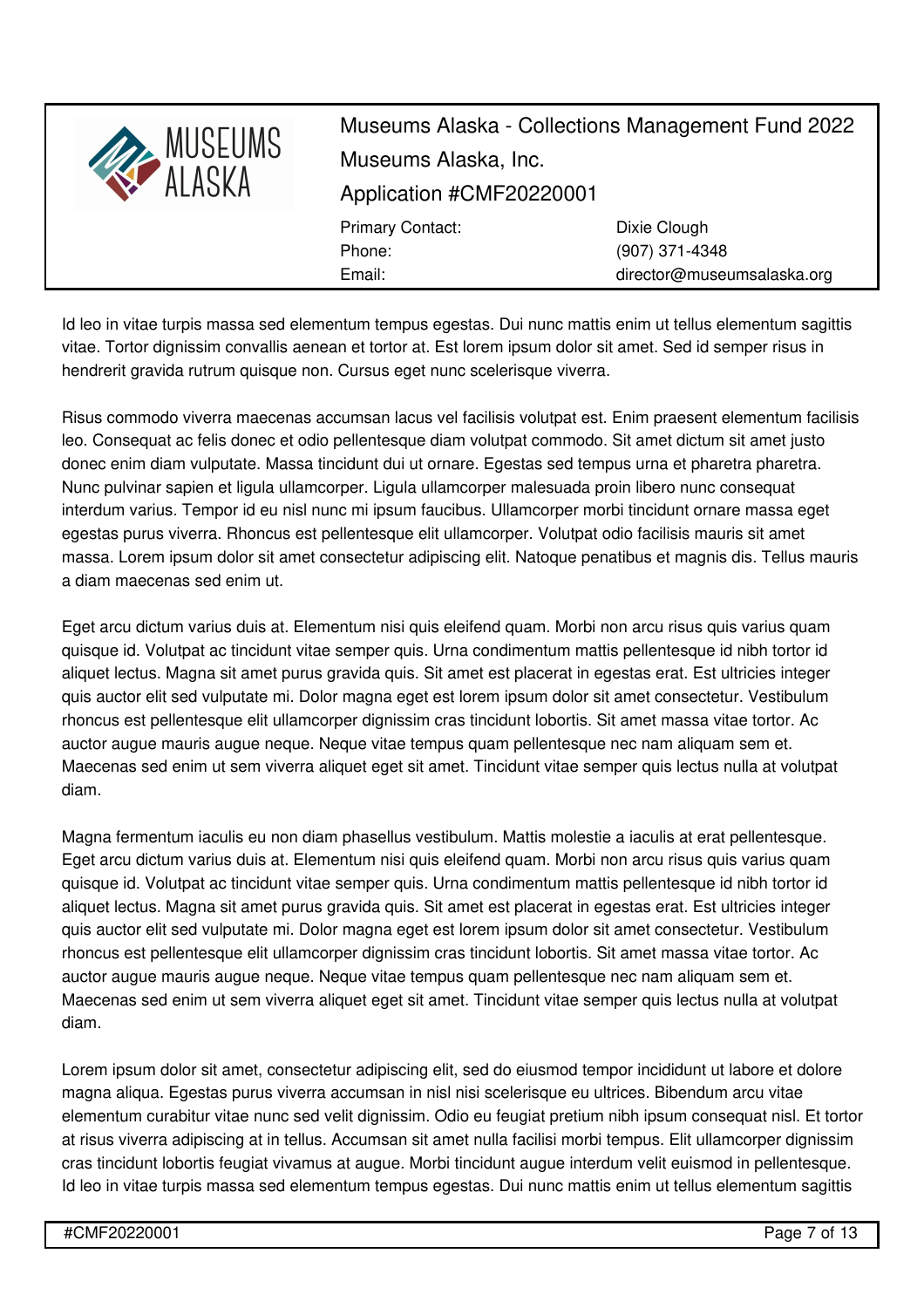

Id leo in vitae turpis massa sed elementum tempus egestas. Dui nunc mattis enim ut tellus elementum sagittis vitae. Tortor dignissim convallis aenean et tortor at. Est lorem ipsum dolor sit amet. Sed id semper risus in hendrerit gravida rutrum quisque non. Cursus eget nunc scelerisque viverra.

Risus commodo viverra maecenas accumsan lacus vel facilisis volutpat est. Enim praesent elementum facilisis leo. Consequat ac felis donec et odio pellentesque diam volutpat commodo. Sit amet dictum sit amet justo donec enim diam vulputate. Massa tincidunt dui ut ornare. Egestas sed tempus urna et pharetra pharetra. Nunc pulvinar sapien et ligula ullamcorper. Ligula ullamcorper malesuada proin libero nunc consequat interdum varius. Tempor id eu nisl nunc mi ipsum faucibus. Ullamcorper morbi tincidunt ornare massa eget egestas purus viverra. Rhoncus est pellentesque elit ullamcorper. Volutpat odio facilisis mauris sit amet massa. Lorem ipsum dolor sit amet consectetur adipiscing elit. Natoque penatibus et magnis dis. Tellus mauris a diam maecenas sed enim ut.

Eget arcu dictum varius duis at. Elementum nisi quis eleifend quam. Morbi non arcu risus quis varius quam quisque id. Volutpat ac tincidunt vitae semper quis. Urna condimentum mattis pellentesque id nibh tortor id aliquet lectus. Magna sit amet purus gravida quis. Sit amet est placerat in egestas erat. Est ultricies integer quis auctor elit sed vulputate mi. Dolor magna eget est lorem ipsum dolor sit amet consectetur. Vestibulum rhoncus est pellentesque elit ullamcorper dignissim cras tincidunt lobortis. Sit amet massa vitae tortor. Ac auctor augue mauris augue neque. Neque vitae tempus quam pellentesque nec nam aliquam sem et. Maecenas sed enim ut sem viverra aliquet eget sit amet. Tincidunt vitae semper quis lectus nulla at volutpat diam.

Magna fermentum iaculis eu non diam phasellus vestibulum. Mattis molestie a iaculis at erat pellentesque. Eget arcu dictum varius duis at. Elementum nisi quis eleifend quam. Morbi non arcu risus quis varius quam quisque id. Volutpat ac tincidunt vitae semper quis. Urna condimentum mattis pellentesque id nibh tortor id aliquet lectus. Magna sit amet purus gravida quis. Sit amet est placerat in egestas erat. Est ultricies integer quis auctor elit sed vulputate mi. Dolor magna eget est lorem ipsum dolor sit amet consectetur. Vestibulum rhoncus est pellentesque elit ullamcorper dignissim cras tincidunt lobortis. Sit amet massa vitae tortor. Ac auctor augue mauris augue neque. Neque vitae tempus quam pellentesque nec nam aliquam sem et. Maecenas sed enim ut sem viverra aliquet eget sit amet. Tincidunt vitae semper quis lectus nulla at volutpat diam.

Lorem ipsum dolor sit amet, consectetur adipiscing elit, sed do eiusmod tempor incididunt ut labore et dolore magna aliqua. Egestas purus viverra accumsan in nisl nisi scelerisque eu ultrices. Bibendum arcu vitae elementum curabitur vitae nunc sed velit dignissim. Odio eu feugiat pretium nibh ipsum consequat nisl. Et tortor at risus viverra adipiscing at in tellus. Accumsan sit amet nulla facilisi morbi tempus. Elit ullamcorper dignissim cras tincidunt lobortis feugiat vivamus at augue. Morbi tincidunt augue interdum velit euismod in pellentesque. Id leo in vitae turpis massa sed elementum tempus egestas. Dui nunc mattis enim ut tellus elementum sagittis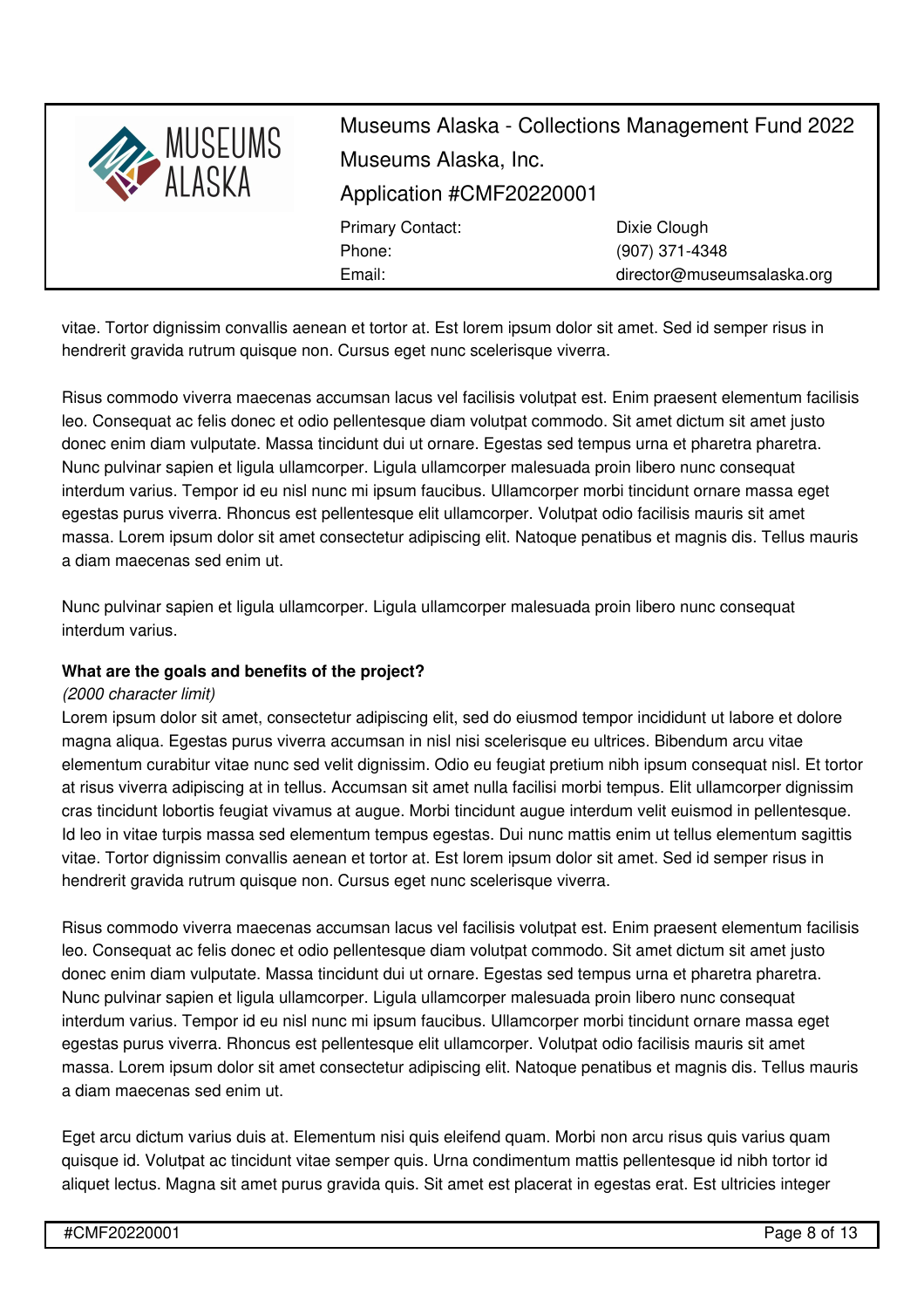

vitae. Tortor dignissim convallis aenean et tortor at. Est lorem ipsum dolor sit amet. Sed id semper risus in hendrerit gravida rutrum quisque non. Cursus eget nunc scelerisque viverra.

Risus commodo viverra maecenas accumsan lacus vel facilisis volutpat est. Enim praesent elementum facilisis leo. Consequat ac felis donec et odio pellentesque diam volutpat commodo. Sit amet dictum sit amet justo donec enim diam vulputate. Massa tincidunt dui ut ornare. Egestas sed tempus urna et pharetra pharetra. Nunc pulvinar sapien et ligula ullamcorper. Ligula ullamcorper malesuada proin libero nunc consequat interdum varius. Tempor id eu nisl nunc mi ipsum faucibus. Ullamcorper morbi tincidunt ornare massa eget egestas purus viverra. Rhoncus est pellentesque elit ullamcorper. Volutpat odio facilisis mauris sit amet massa. Lorem ipsum dolor sit amet consectetur adipiscing elit. Natoque penatibus et magnis dis. Tellus mauris a diam maecenas sed enim ut.

Nunc pulvinar sapien et ligula ullamcorper. Ligula ullamcorper malesuada proin libero nunc consequat interdum varius.

## **What are the goals and benefits of the project?**

### *(2000 character limit)*

Lorem ipsum dolor sit amet, consectetur adipiscing elit, sed do eiusmod tempor incididunt ut labore et dolore magna aliqua. Egestas purus viverra accumsan in nisl nisi scelerisque eu ultrices. Bibendum arcu vitae elementum curabitur vitae nunc sed velit dignissim. Odio eu feugiat pretium nibh ipsum consequat nisl. Et tortor at risus viverra adipiscing at in tellus. Accumsan sit amet nulla facilisi morbi tempus. Elit ullamcorper dignissim cras tincidunt lobortis feugiat vivamus at augue. Morbi tincidunt augue interdum velit euismod in pellentesque. Id leo in vitae turpis massa sed elementum tempus egestas. Dui nunc mattis enim ut tellus elementum sagittis vitae. Tortor dignissim convallis aenean et tortor at. Est lorem ipsum dolor sit amet. Sed id semper risus in hendrerit gravida rutrum quisque non. Cursus eget nunc scelerisque viverra.

Risus commodo viverra maecenas accumsan lacus vel facilisis volutpat est. Enim praesent elementum facilisis leo. Consequat ac felis donec et odio pellentesque diam volutpat commodo. Sit amet dictum sit amet justo donec enim diam vulputate. Massa tincidunt dui ut ornare. Egestas sed tempus urna et pharetra pharetra. Nunc pulvinar sapien et ligula ullamcorper. Ligula ullamcorper malesuada proin libero nunc consequat interdum varius. Tempor id eu nisl nunc mi ipsum faucibus. Ullamcorper morbi tincidunt ornare massa eget egestas purus viverra. Rhoncus est pellentesque elit ullamcorper. Volutpat odio facilisis mauris sit amet massa. Lorem ipsum dolor sit amet consectetur adipiscing elit. Natoque penatibus et magnis dis. Tellus mauris a diam maecenas sed enim ut.

Eget arcu dictum varius duis at. Elementum nisi quis eleifend quam. Morbi non arcu risus quis varius quam quisque id. Volutpat ac tincidunt vitae semper quis. Urna condimentum mattis pellentesque id nibh tortor id aliquet lectus. Magna sit amet purus gravida quis. Sit amet est placerat in egestas erat. Est ultricies integer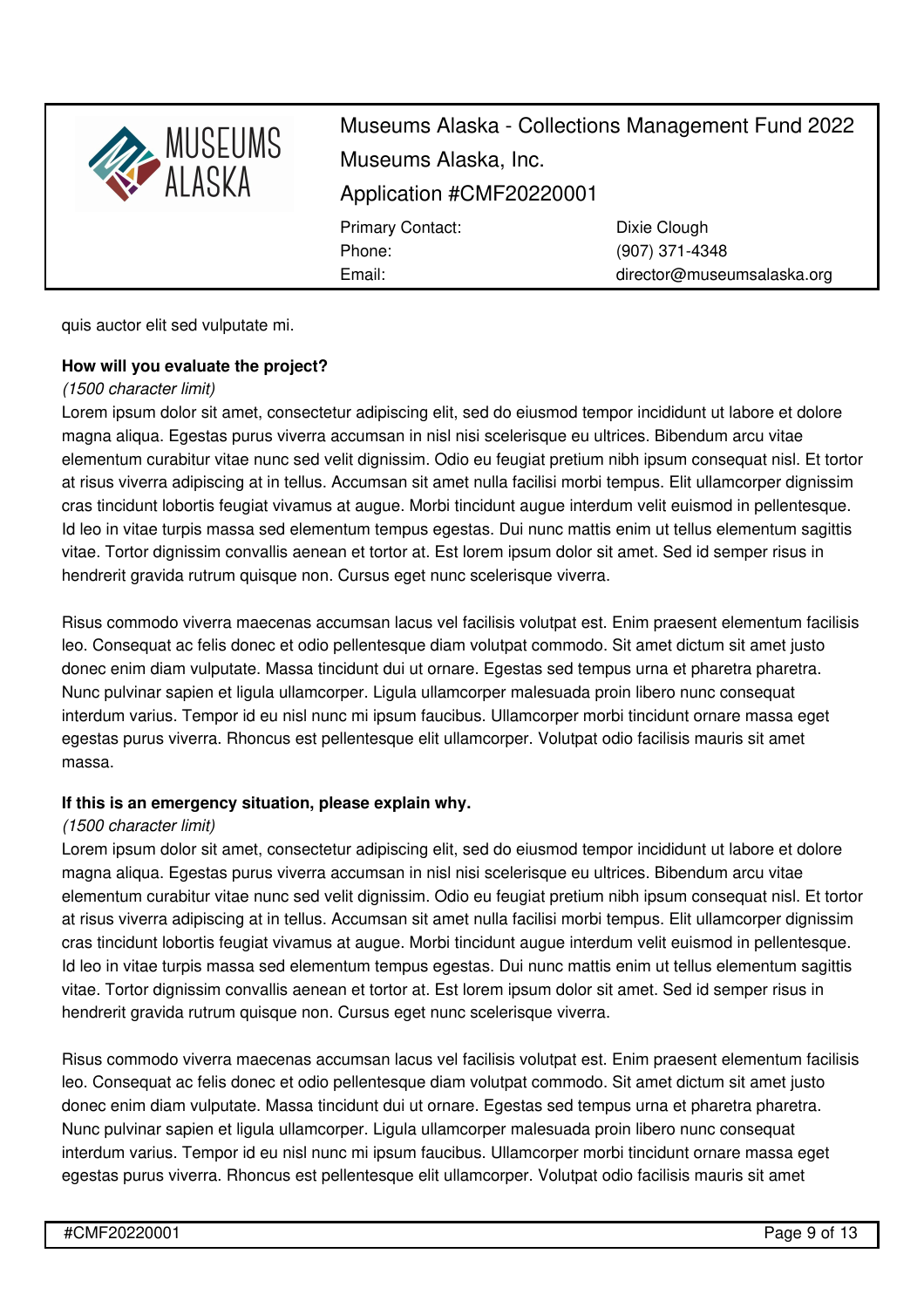

quis auctor elit sed vulputate mi.

### **How will you evaluate the project?**

### *(1500 character limit)*

Lorem ipsum dolor sit amet, consectetur adipiscing elit, sed do eiusmod tempor incididunt ut labore et dolore magna aliqua. Egestas purus viverra accumsan in nisl nisi scelerisque eu ultrices. Bibendum arcu vitae elementum curabitur vitae nunc sed velit dignissim. Odio eu feugiat pretium nibh ipsum consequat nisl. Et tortor at risus viverra adipiscing at in tellus. Accumsan sit amet nulla facilisi morbi tempus. Elit ullamcorper dignissim cras tincidunt lobortis feugiat vivamus at augue. Morbi tincidunt augue interdum velit euismod in pellentesque. Id leo in vitae turpis massa sed elementum tempus egestas. Dui nunc mattis enim ut tellus elementum sagittis vitae. Tortor dignissim convallis aenean et tortor at. Est lorem ipsum dolor sit amet. Sed id semper risus in hendrerit gravida rutrum quisque non. Cursus eget nunc scelerisque viverra.

Risus commodo viverra maecenas accumsan lacus vel facilisis volutpat est. Enim praesent elementum facilisis leo. Consequat ac felis donec et odio pellentesque diam volutpat commodo. Sit amet dictum sit amet justo donec enim diam vulputate. Massa tincidunt dui ut ornare. Egestas sed tempus urna et pharetra pharetra. Nunc pulvinar sapien et ligula ullamcorper. Ligula ullamcorper malesuada proin libero nunc consequat interdum varius. Tempor id eu nisl nunc mi ipsum faucibus. Ullamcorper morbi tincidunt ornare massa eget egestas purus viverra. Rhoncus est pellentesque elit ullamcorper. Volutpat odio facilisis mauris sit amet massa.

### **If this is an emergency situation, please explain why.**

### *(1500 character limit)*

Lorem ipsum dolor sit amet, consectetur adipiscing elit, sed do eiusmod tempor incididunt ut labore et dolore magna aliqua. Egestas purus viverra accumsan in nisl nisi scelerisque eu ultrices. Bibendum arcu vitae elementum curabitur vitae nunc sed velit dignissim. Odio eu feugiat pretium nibh ipsum consequat nisl. Et tortor at risus viverra adipiscing at in tellus. Accumsan sit amet nulla facilisi morbi tempus. Elit ullamcorper dignissim cras tincidunt lobortis feugiat vivamus at augue. Morbi tincidunt augue interdum velit euismod in pellentesque. Id leo in vitae turpis massa sed elementum tempus egestas. Dui nunc mattis enim ut tellus elementum sagittis vitae. Tortor dignissim convallis aenean et tortor at. Est lorem ipsum dolor sit amet. Sed id semper risus in hendrerit gravida rutrum quisque non. Cursus eget nunc scelerisque viverra.

Risus commodo viverra maecenas accumsan lacus vel facilisis volutpat est. Enim praesent elementum facilisis leo. Consequat ac felis donec et odio pellentesque diam volutpat commodo. Sit amet dictum sit amet justo donec enim diam vulputate. Massa tincidunt dui ut ornare. Egestas sed tempus urna et pharetra pharetra. Nunc pulvinar sapien et ligula ullamcorper. Ligula ullamcorper malesuada proin libero nunc consequat interdum varius. Tempor id eu nisl nunc mi ipsum faucibus. Ullamcorper morbi tincidunt ornare massa eget egestas purus viverra. Rhoncus est pellentesque elit ullamcorper. Volutpat odio facilisis mauris sit amet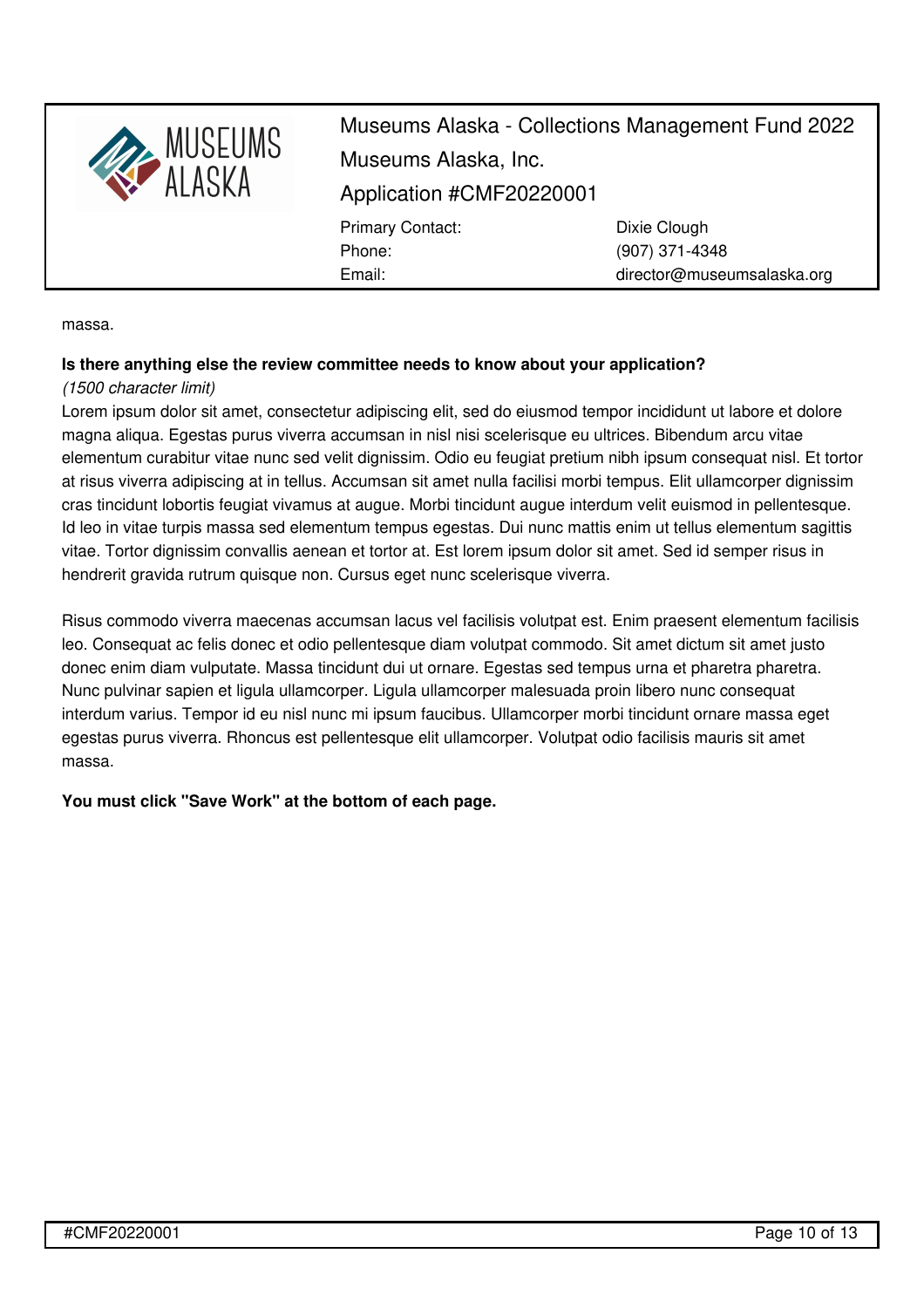

director@museumsalaska.org

massa.

## **Is there anything else the review committee needs to know about your application?**

Email:

### *(1500 character limit)*

Lorem ipsum dolor sit amet, consectetur adipiscing elit, sed do eiusmod tempor incididunt ut labore et dolore magna aliqua. Egestas purus viverra accumsan in nisl nisi scelerisque eu ultrices. Bibendum arcu vitae elementum curabitur vitae nunc sed velit dignissim. Odio eu feugiat pretium nibh ipsum consequat nisl. Et tortor at risus viverra adipiscing at in tellus. Accumsan sit amet nulla facilisi morbi tempus. Elit ullamcorper dignissim cras tincidunt lobortis feugiat vivamus at augue. Morbi tincidunt augue interdum velit euismod in pellentesque. Id leo in vitae turpis massa sed elementum tempus egestas. Dui nunc mattis enim ut tellus elementum sagittis vitae. Tortor dignissim convallis aenean et tortor at. Est lorem ipsum dolor sit amet. Sed id semper risus in hendrerit gravida rutrum quisque non. Cursus eget nunc scelerisque viverra.

Risus commodo viverra maecenas accumsan lacus vel facilisis volutpat est. Enim praesent elementum facilisis leo. Consequat ac felis donec et odio pellentesque diam volutpat commodo. Sit amet dictum sit amet justo donec enim diam vulputate. Massa tincidunt dui ut ornare. Egestas sed tempus urna et pharetra pharetra. Nunc pulvinar sapien et ligula ullamcorper. Ligula ullamcorper malesuada proin libero nunc consequat interdum varius. Tempor id eu nisl nunc mi ipsum faucibus. Ullamcorper morbi tincidunt ornare massa eget egestas purus viverra. Rhoncus est pellentesque elit ullamcorper. Volutpat odio facilisis mauris sit amet massa.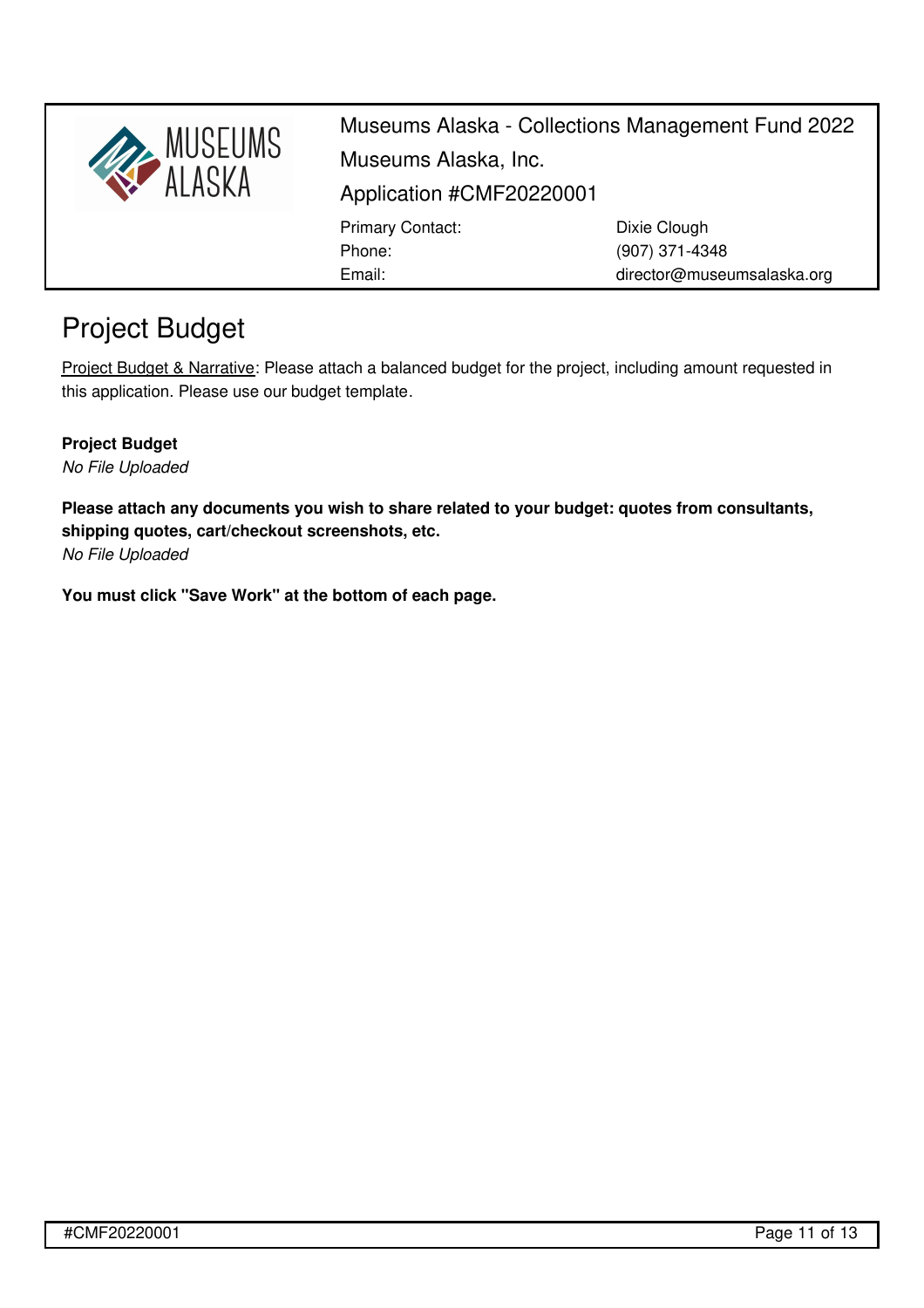

director@museumsalaska.org

# Project Budget

Project Budget & Narrative: Please attach a balanced budget for the project, including amount requested in this application. Please use our budget [template](https://museumsalaska.org/resources/Documents/2018%20CMF%20Budget%20Form.xlsx).

Email:

## **Project Budget**

*No File Uploaded*

**Please attach any documents you wish to share related to your budget: quotes from consultants, shipping quotes, cart/checkout screenshots, etc.**

*No File Uploaded*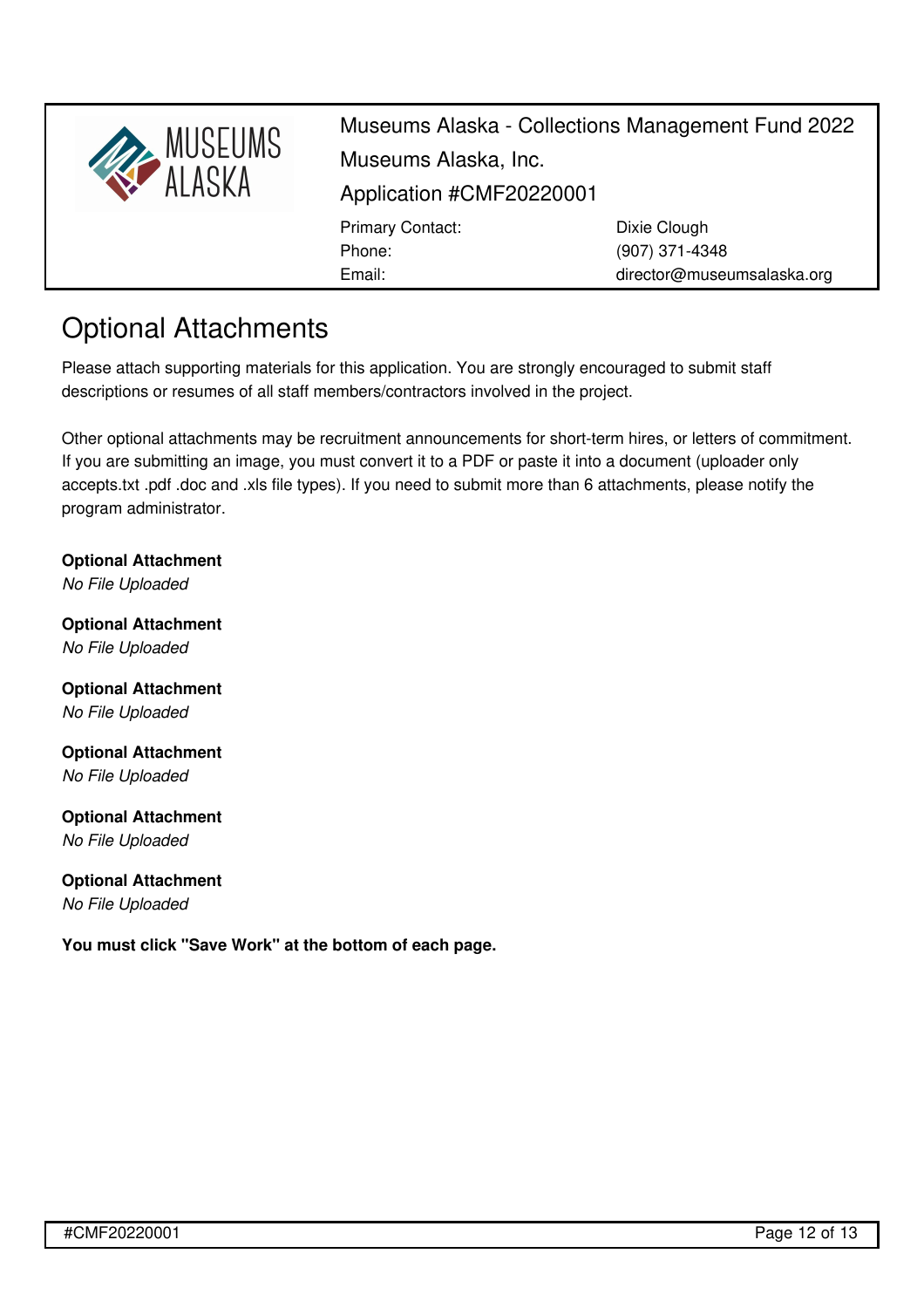

## Optional Attachments

Please attach supporting materials for this application. You are strongly encouraged to submit staff descriptions or resumes of all staff members/contractors involved in the project.

Other optional attachments may be recruitment announcements for short-term hires, or letters of commitment. If you are submitting an image, you must convert it to a PDF or paste it into a document (uploader only accepts.txt .pdf .doc and .xls file types). If you need to submit more than 6 attachments, please notify the program [administrator](mailto:director@museumsalaska.org).

**Optional Attachment** *No File Uploaded*

**Optional Attachment** *No File Uploaded*

**Optional Attachment** *No File Uploaded*

**Optional Attachment** *No File Uploaded*

**Optional Attachment** *No File Uploaded*

## **Optional Attachment**

*No File Uploaded*